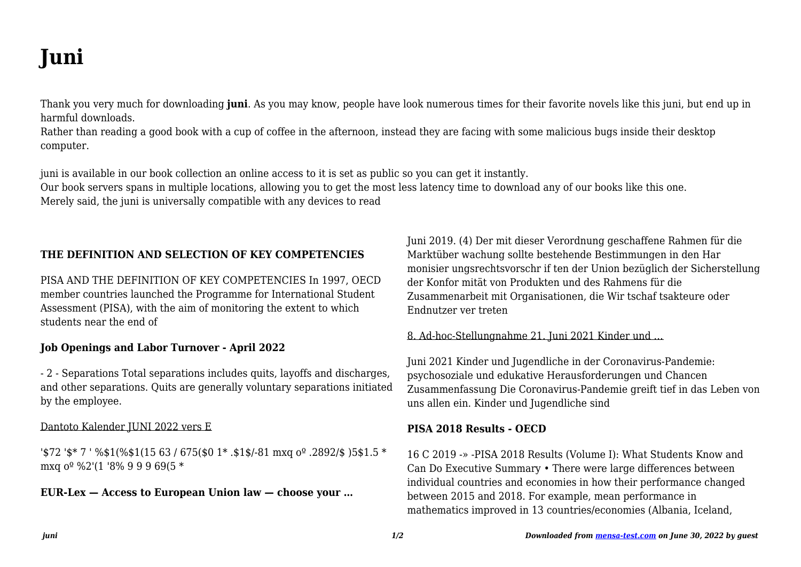# **Juni**

Thank you very much for downloading **juni**. As you may know, people have look numerous times for their favorite novels like this juni, but end up in harmful downloads

Rather than reading a good book with a cup of coffee in the afternoon, instead they are facing with some malicious bugs inside their desktop computer.

juni is available in our book collection an online access to it is set as public so you can get it instantly.

Our book servers spans in multiple locations, allowing you to get the most less latency time to download any of our books like this one. Merely said, the juni is universally compatible with any devices to read

# THE DEFINITION AND SELECTION OF KEY COMPETENCIES

PISA AND THE DEFINITION OF KEY COMPETENCIES In 1997. OECD member countries launched the Programme for International Student Assessment (PISA), with the aim of monitoring the extent to which students near the end of

## **Job Openings and Labor Turnover - April 2022**

- 2 - Separations Total separations includes guits, layoffs and discharges, and other separations. Quits are generally voluntary separations initiated by the employee.

## Dantoto Kalender IUNI 2022 vers E

'\$72 '\$\* 7 ' %\$1(%\$1(15 63 / 675(\$0 1\* .\$1\$/-81 mxg  $0^{\circ}$  .2892/\$ )5\$1.5 \* mxq  $0^{\circ}$  %2'(1'8% 99969(5\*

## $EUR-Lex - Access$  to European Union law  $-$  choose your ...

Juni 2019. (4) Der mit dieser Verordnung geschaffene Rahmen für die Marktüber wachung sollte bestehende Bestimmungen in den Har monisier ungsrechtsvorschr if ten der Union bezüglich der Sicherstellung der Konfor mität von Produkten und des Rahmens für die Zusammenarbeit mit Organisationen, die Wir tschaf tsakteure oder Endnutzer ver treten

## 8. Ad-hoc-Stellungnahme 21. Juni 2021 Kinder und ...

Juni 2021 Kinder und Jugendliche in der Coronavirus-Pandemie: psychosoziale und edukative Herausforderungen und Chancen Zusammenfassung Die Coronavirus-Pandemie greift tief in das Leben von uns allen ein. Kinder und Jugendliche sind

# **PISA 2018 Results - OECD**

16 C 2019 -» -PISA 2018 Results (Volume I): What Students Know and Can Do Executive Summary • There were large differences between individual countries and economies in how their performance changed between 2015 and 2018. For example, mean performance in mathematics improved in 13 countries/economies (Albania, Iceland,